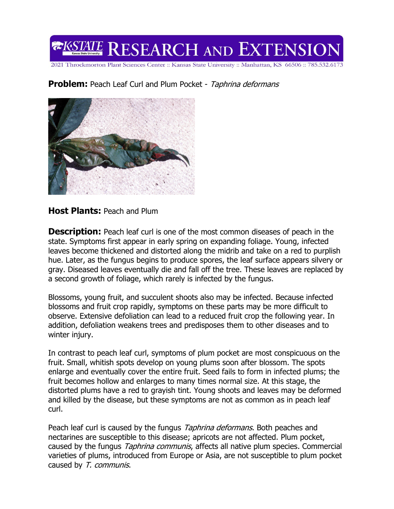# **EXSTATE RESEARCH AND EXTENSIO**

2021 Throckmorton Plant Sciences Center :: Kansas State University :: Manhattan, KS 66506 :: 785.532.6173

### **Problem:** Peach Leaf Curl and Plum Pocket - Taphrina deformans



#### **Host Plants:** Peach and Plum

**Description:** Peach leaf curl is one of the most common diseases of peach in the state. Symptoms first appear in early spring on expanding foliage. Young, infected leaves become thickened and distorted along the midrib and take on a red to purplish hue. Later, as the fungus begins to produce spores, the leaf surface appears silvery or gray. Diseased leaves eventually die and fall off the tree. These leaves are replaced by a second growth of foliage, which rarely is infected by the fungus.

Blossoms, young fruit, and succulent shoots also may be infected. Because infected blossoms and fruit crop rapidly, symptoms on these parts may be more difficult to observe. Extensive defoliation can lead to a reduced fruit crop the following year. In addition, defoliation weakens trees and predisposes them to other diseases and to winter injury.

In contrast to peach leaf curl, symptoms of plum pocket are most conspicuous on the fruit. Small, whitish spots develop on young plums soon after blossom. The spots enlarge and eventually cover the entire fruit. Seed fails to form in infected plums; the fruit becomes hollow and enlarges to many times normal size. At this stage, the distorted plums have a red to grayish tint. Young shoots and leaves may be deformed and killed by the disease, but these symptoms are not as common as in peach leaf curl.

Peach leaf curl is caused by the fungus Taphrina deformans. Both peaches and nectarines are susceptible to this disease; apricots are not affected. Plum pocket, caused by the fungus *Taphrina communis*, affects all native plum species. Commercial varieties of plums, introduced from Europe or Asia, are not susceptible to plum pocket caused by T. communis.